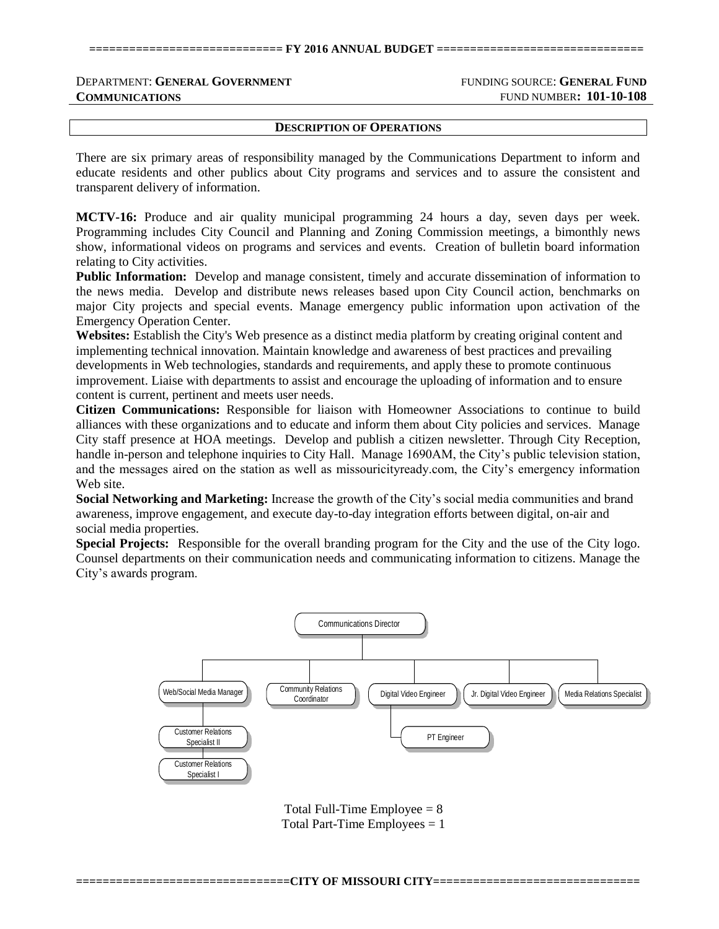## DEPARTMENT: **GENERAL GOVERNMENT** FUNDING SOURCE: **GENERAL FUND COMMUNICATIONS** FUND NUMBER**: 101-10-108**

**DESCRIPTION OF OPERATIONS**

There are six primary areas of responsibility managed by the Communications Department to inform and educate residents and other publics about City programs and services and to assure the consistent and transparent delivery of information.

**MCTV-16:** Produce and air quality municipal programming 24 hours a day, seven days per week. Programming includes City Council and Planning and Zoning Commission meetings, a bimonthly news show, informational videos on programs and services and events. Creation of bulletin board information relating to City activities.

**Public Information:** Develop and manage consistent, timely and accurate dissemination of information to the news media. Develop and distribute news releases based upon City Council action, benchmarks on major City projects and special events. Manage emergency public information upon activation of the Emergency Operation Center.

**Websites:** Establish the City's Web presence as a distinct media platform by creating original content and implementing technical innovation. Maintain knowledge and awareness of best practices and prevailing developments in Web technologies, standards and requirements, and apply these to promote continuous improvement. Liaise with departments to assist and encourage the uploading of information and to ensure content is current, pertinent and meets user needs.

**Citizen Communications:** Responsible for liaison with Homeowner Associations to continue to build alliances with these organizations and to educate and inform them about City policies and services. Manage City staff presence at HOA meetings. Develop and publish a citizen newsletter. Through City Reception, handle in-person and telephone inquiries to City Hall. Manage 1690AM, the City's public television station, and the messages aired on the station as well as missouricityready.com, the City's emergency information Web site.

**Social Networking and Marketing:** Increase the growth of the City's social media communities and brand awareness, improve engagement, and execute day-to-day integration efforts between digital, on-air and social media properties.

**Special Projects:** Responsible for the overall branding program for the City and the use of the City logo. Counsel departments on their communication needs and communicating information to citizens. Manage the City's awards program.



Total Full-Time Employee  $= 8$ Total Part-Time Employees  $= 1$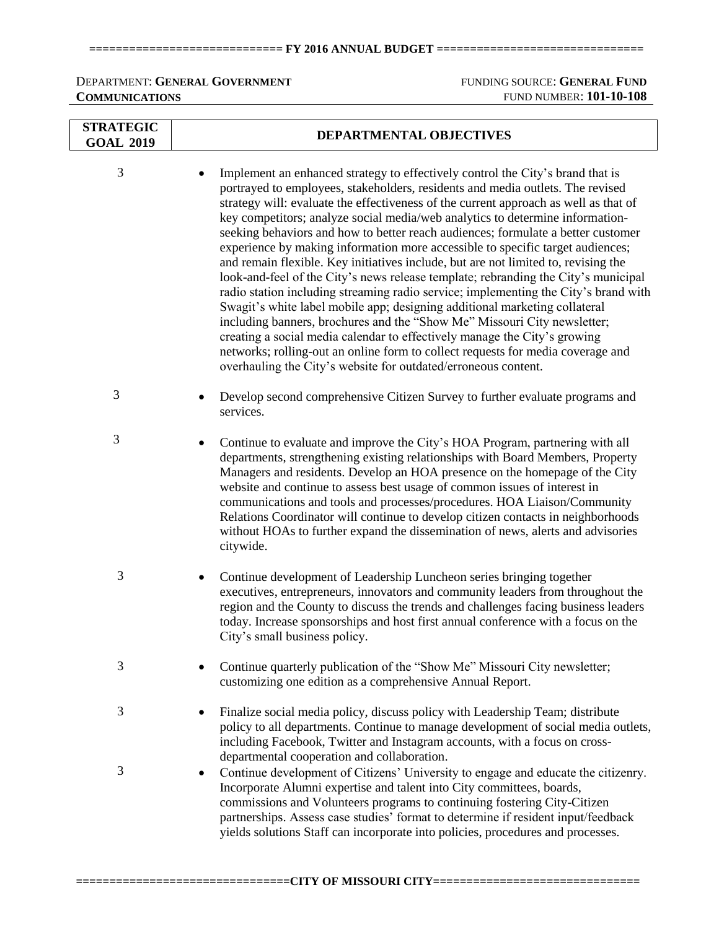### **============================= FY 2016 ANNUAL BUDGET ===============================**

# DEPARTMENT: **GENERAL GOVERNMENT** FUNDING SOURCE: **GENERAL FUND COMMUNICATIONS** FUND NUMBER: **101-10-108**

| <b>STRATEGIC</b><br><b>GOAL 2019</b> | DEPARTMENTAL OBJECTIVES                                                                                                                                                                                                                                                                                                                                                                                                                                                                                                                                                                                                                                                                                                                                                                                                                                                                                                                                                                                                                                                                                                                                                        |  |  |  |  |
|--------------------------------------|--------------------------------------------------------------------------------------------------------------------------------------------------------------------------------------------------------------------------------------------------------------------------------------------------------------------------------------------------------------------------------------------------------------------------------------------------------------------------------------------------------------------------------------------------------------------------------------------------------------------------------------------------------------------------------------------------------------------------------------------------------------------------------------------------------------------------------------------------------------------------------------------------------------------------------------------------------------------------------------------------------------------------------------------------------------------------------------------------------------------------------------------------------------------------------|--|--|--|--|
| 3                                    | Implement an enhanced strategy to effectively control the City's brand that is<br>portrayed to employees, stakeholders, residents and media outlets. The revised<br>strategy will: evaluate the effectiveness of the current approach as well as that of<br>key competitors; analyze social media/web analytics to determine information-<br>seeking behaviors and how to better reach audiences; formulate a better customer<br>experience by making information more accessible to specific target audiences;<br>and remain flexible. Key initiatives include, but are not limited to, revising the<br>look-and-feel of the City's news release template; rebranding the City's municipal<br>radio station including streaming radio service; implementing the City's brand with<br>Swagit's white label mobile app; designing additional marketing collateral<br>including banners, brochures and the "Show Me" Missouri City newsletter;<br>creating a social media calendar to effectively manage the City's growing<br>networks; rolling-out an online form to collect requests for media coverage and<br>overhauling the City's website for outdated/erroneous content. |  |  |  |  |
| 3                                    | Develop second comprehensive Citizen Survey to further evaluate programs and<br>services.                                                                                                                                                                                                                                                                                                                                                                                                                                                                                                                                                                                                                                                                                                                                                                                                                                                                                                                                                                                                                                                                                      |  |  |  |  |
| 3                                    | Continue to evaluate and improve the City's HOA Program, partnering with all<br>departments, strengthening existing relationships with Board Members, Property<br>Managers and residents. Develop an HOA presence on the homepage of the City<br>website and continue to assess best usage of common issues of interest in<br>communications and tools and processes/procedures. HOA Liaison/Community<br>Relations Coordinator will continue to develop citizen contacts in neighborhoods<br>without HOAs to further expand the dissemination of news, alerts and advisories<br>citywide.                                                                                                                                                                                                                                                                                                                                                                                                                                                                                                                                                                                     |  |  |  |  |
| 3                                    | Continue development of Leadership Luncheon series bringing together<br>٠<br>executives, entrepreneurs, innovators and community leaders from throughout the<br>region and the County to discuss the trends and challenges facing business leaders<br>today. Increase sponsorships and host first annual conference with a focus on the<br>City's small business policy.                                                                                                                                                                                                                                                                                                                                                                                                                                                                                                                                                                                                                                                                                                                                                                                                       |  |  |  |  |
| 3                                    | Continue quarterly publication of the "Show Me" Missouri City newsletter;<br>customizing one edition as a comprehensive Annual Report.                                                                                                                                                                                                                                                                                                                                                                                                                                                                                                                                                                                                                                                                                                                                                                                                                                                                                                                                                                                                                                         |  |  |  |  |
| 3                                    | Finalize social media policy, discuss policy with Leadership Team; distribute<br>policy to all departments. Continue to manage development of social media outlets,<br>including Facebook, Twitter and Instagram accounts, with a focus on cross-<br>departmental cooperation and collaboration.                                                                                                                                                                                                                                                                                                                                                                                                                                                                                                                                                                                                                                                                                                                                                                                                                                                                               |  |  |  |  |
| 3                                    | Continue development of Citizens' University to engage and educate the citizenry.<br>Incorporate Alumni expertise and talent into City committees, boards,<br>commissions and Volunteers programs to continuing fostering City-Citizen<br>partnerships. Assess case studies' format to determine if resident input/feedback<br>yields solutions Staff can incorporate into policies, procedures and processes.                                                                                                                                                                                                                                                                                                                                                                                                                                                                                                                                                                                                                                                                                                                                                                 |  |  |  |  |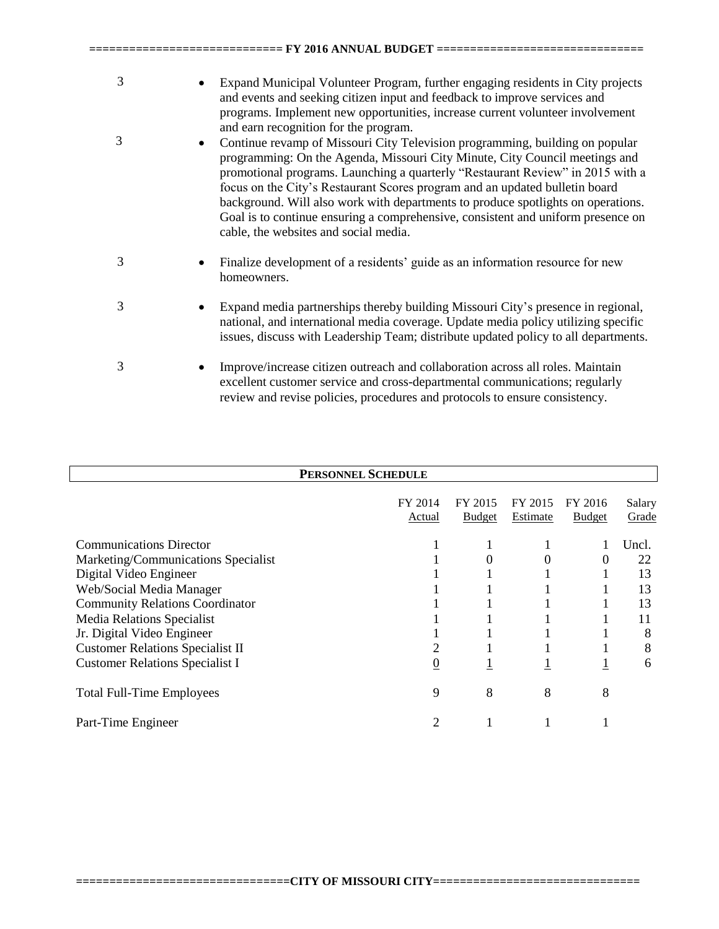| 3 | Expand Municipal Volunteer Program, further engaging residents in City projects<br>and events and seeking citizen input and feedback to improve services and<br>programs. Implement new opportunities, increase current volunteer involvement<br>and earn recognition for the program.                                                                                                                                                                                                                                                                     |
|---|------------------------------------------------------------------------------------------------------------------------------------------------------------------------------------------------------------------------------------------------------------------------------------------------------------------------------------------------------------------------------------------------------------------------------------------------------------------------------------------------------------------------------------------------------------|
| 3 | Continue revamp of Missouri City Television programming, building on popular<br>$\bullet$<br>programming: On the Agenda, Missouri City Minute, City Council meetings and<br>promotional programs. Launching a quarterly "Restaurant Review" in 2015 with a<br>focus on the City's Restaurant Scores program and an updated bulletin board<br>background. Will also work with departments to produce spotlights on operations.<br>Goal is to continue ensuring a comprehensive, consistent and uniform presence on<br>cable, the websites and social media. |
| 3 | Finalize development of a residents' guide as an information resource for new<br>homeowners.                                                                                                                                                                                                                                                                                                                                                                                                                                                               |
| 3 | Expand media partnerships thereby building Missouri City's presence in regional,<br>٠<br>national, and international media coverage. Update media policy utilizing specific<br>issues, discuss with Leadership Team; distribute updated policy to all departments.                                                                                                                                                                                                                                                                                         |
| 3 | Improve/increase citizen outreach and collaboration across all roles. Maintain<br>$\bullet$<br>excellent customer service and cross-departmental communications; regularly<br>review and revise policies, procedures and protocols to ensure consistency.                                                                                                                                                                                                                                                                                                  |

**============================= FY 2016 ANNUAL BUDGET ===============================**

| <b>PERSONNEL SCHEDULE</b>               |                |               |                 |               |        |  |
|-----------------------------------------|----------------|---------------|-----------------|---------------|--------|--|
|                                         |                |               |                 |               |        |  |
|                                         | FY 2014        | FY 2015       | FY 2015         | FY 2016       | Salary |  |
|                                         | Actual         | <b>Budget</b> | <b>Estimate</b> | <b>Budget</b> | Grade  |  |
| <b>Communications Director</b>          |                |               |                 |               | Uncl.  |  |
| Marketing/Communications Specialist     |                |               | 0               | 0             | 22     |  |
| Digital Video Engineer                  |                |               |                 |               | 13     |  |
| Web/Social Media Manager                |                |               |                 |               | 13     |  |
| <b>Community Relations Coordinator</b>  |                |               |                 |               | 13     |  |
| <b>Media Relations Specialist</b>       |                |               |                 |               | 11     |  |
| Jr. Digital Video Engineer              |                |               |                 |               | 8      |  |
| <b>Customer Relations Specialist II</b> |                |               |                 |               | 8      |  |
| <b>Customer Relations Specialist I</b>  | $\overline{0}$ |               |                 |               | 6      |  |
| <b>Total Full-Time Employees</b>        | 9              | 8             | 8               | 8             |        |  |
| Part-Time Engineer                      | 2              |               |                 |               |        |  |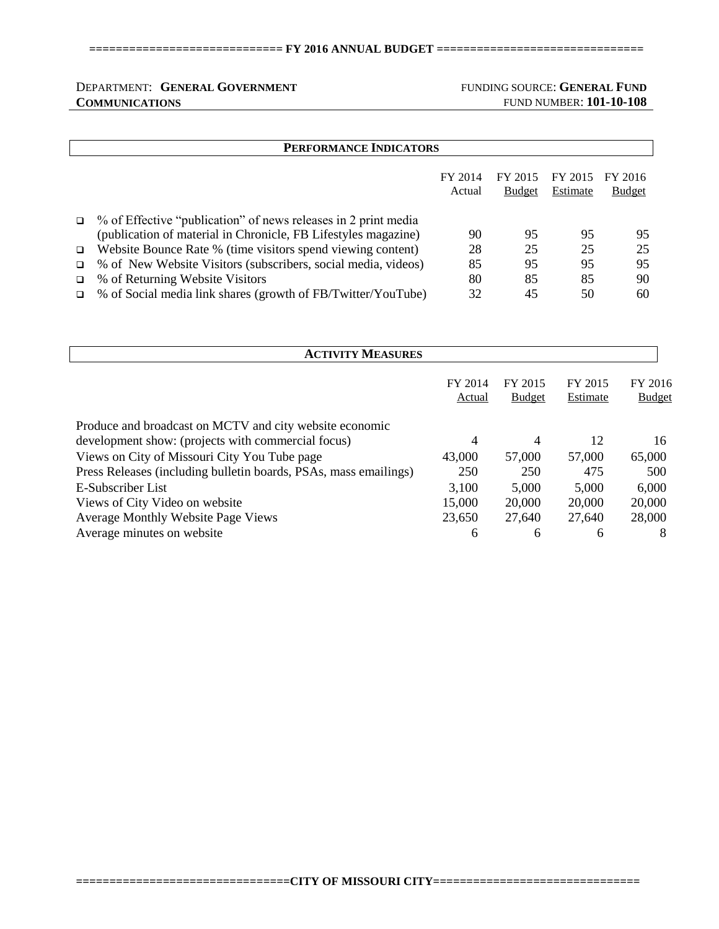### **============================= FY 2016 ANNUAL BUDGET ===============================**

## DEPARTMENT: **GENERAL GOVERNMENT** FUNDING SOURCE: **GENERAL FUND COMMUNICATIONS** FUND NUMBER: **101-10-108**

|   | PERFORMANCE INDICATORS                                         |                   |                          |                     |                          |  |
|---|----------------------------------------------------------------|-------------------|--------------------------|---------------------|--------------------------|--|
|   |                                                                | FY 2014<br>Actual | FY 2015<br><b>Budget</b> | FY 2015<br>Estimate | FY 2016<br><b>Budget</b> |  |
| ❏ | % of Effective "publication" of news releases in 2 print media |                   |                          |                     |                          |  |
|   | (publication of material in Chronicle, FB Lifestyles magazine) | 90                | 95                       | 95                  | 95                       |  |
| □ | Website Bounce Rate % (time visitors spend viewing content)    | 28                | 25                       | 25                  | 25                       |  |
|   | % of New Website Visitors (subscribers, social media, videos)  | 85                | 95                       | 95                  | 95                       |  |
|   | % of Returning Website Visitors                                | 80                | 85                       | 85                  | 90                       |  |
|   | % of Social media link shares (growth of FB/Twitter/YouTube)   | 32                | 45                       | 50                  | 60                       |  |

| <b>ACTIVITY MEASURES</b>                                         |                   |                          |                     |                          |  |  |
|------------------------------------------------------------------|-------------------|--------------------------|---------------------|--------------------------|--|--|
|                                                                  | FY 2014<br>Actual | FY 2015<br><b>Budget</b> | FY 2015<br>Estimate | FY 2016<br><b>Budget</b> |  |  |
| Produce and broadcast on MCTV and city website economic          |                   |                          |                     |                          |  |  |
| development show: (projects with commercial focus)               | 4                 | 4                        | 12                  | 16                       |  |  |
| Views on City of Missouri City You Tube page                     | 43,000            | 57,000                   | 57,000              | 65,000                   |  |  |
| Press Releases (including bulletin boards, PSAs, mass emailings) | 250               | 250                      | 475                 | 500                      |  |  |
| E-Subscriber List                                                | 3,100             | 5,000                    | 5,000               | 6,000                    |  |  |
| Views of City Video on website                                   | 15,000            | 20,000                   | 20,000              | 20,000                   |  |  |
| <b>Average Monthly Website Page Views</b>                        | 23,650            | 27,640                   | 27,640              | 28,000                   |  |  |
| Average minutes on website                                       | 6                 | 6                        | 6                   | 8                        |  |  |